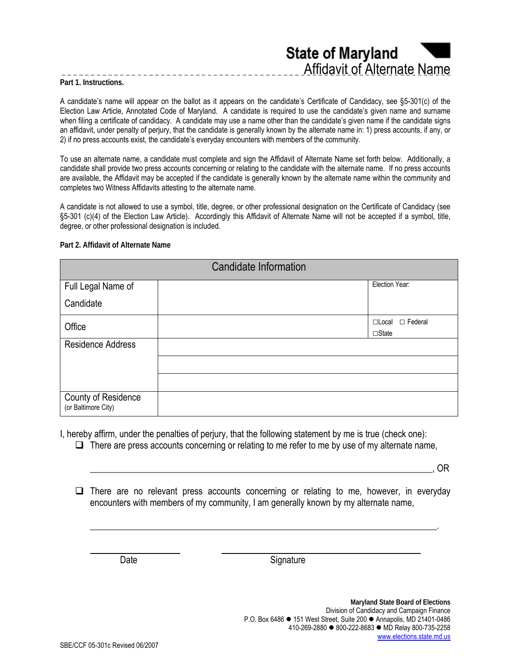**State of Maryland** Affidavit of Alternate Name

**Part 1. Instructions.** 

A candidate's name will appear on the ballot as it appears on the candidate's Certificate of Candidacy, see §5-301(c) of the Election Law Article, Annotated Code of Maryland. A candidate is required to use the candidate's given name and surname when filing a certificate of candidacy. A candidate may use a name other than the candidate's given name if the candidate signs an affidavit, under penalty of perjury, that the candidate is generally known by the alternate name in: 1) press accounts, if any, or 2) if no press accounts exist, the candidate's everyday encounters with members of the community.

To use an alternate name, a candidate must complete and sign the Affidavit of Alternate Name set forth below. Additionally, a candidate shall provide two press accounts concerning or relating to the candidate with the alternate name. If no press accounts are available, the Affidavit may be accepted if the candidate is generally known by the alternate name within the community and completes two Witness Affidavits attesting to the alternate name.

A candidate is not allowed to use a symbol, title, degree, or other professional designation on the Certificate of Candidacy (see §5-301 (c)(4) of the Election Law Article). Accordingly this Affidavit of Alternate Name will not be accepted if a symbol, title, degree, or other professional designation is included.

**Part 2. Affidavit of Alternate Name** 

| <b>Candidate Information</b>               |  |                                             |
|--------------------------------------------|--|---------------------------------------------|
| Full Legal Name of                         |  | Election Year:                              |
| Candidate                                  |  |                                             |
| Office                                     |  | $\Box$ Local $\Box$ Federal<br>$\Box$ State |
| <b>Residence Address</b>                   |  |                                             |
|                                            |  |                                             |
|                                            |  |                                             |
| County of Residence<br>(or Baltimore City) |  |                                             |

I, hereby affirm, under the penalties of perjury, that the following statement by me is true (check one):

 $\Box$  There are press accounts concerning or relating to me refer to me by use of my alternate name,

\_\_\_\_\_\_\_\_\_\_\_\_\_\_\_\_\_\_\_\_\_\_\_\_\_\_\_\_\_\_\_\_\_\_\_\_\_\_\_\_\_\_\_\_\_\_\_\_\_\_\_\_\_\_\_\_\_\_\_\_\_\_\_\_\_\_\_\_\_\_\_\_\_\_\_, OR

 $\Box$  There are no relevant press accounts concerning or relating to me, however, in everyday encounters with members of my community, I am generally known by my alternate name,

\_\_\_\_\_\_\_\_\_\_\_\_\_\_\_\_\_\_\_\_\_\_\_\_\_\_\_\_\_\_\_\_\_\_\_\_\_\_\_\_\_\_\_\_\_\_\_\_\_\_\_\_\_\_\_\_\_\_\_\_\_\_\_\_\_\_\_\_\_\_\_\_\_\_\_\_.

Date Signature

 $\overline{\phantom{a}}$